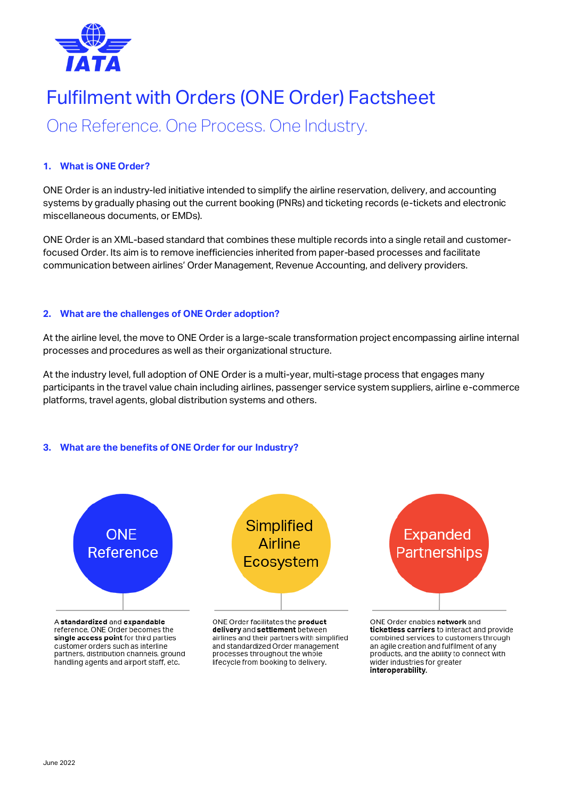

# Fulfilment with Orders (ONE Order) Factsheet

One Reference. One Process. One Industry.

# **1. What is ONE Order?**

ONE Order is an industry-led initiative intended to simplify the airline reservation, delivery, and accounting systems by gradually phasing out the current booking (PNRs) and ticketing records (e-tickets and electronic miscellaneous documents, or EMDs).

ONE Order is an XML-based standard that combines these multiple records into a single retail and customerfocused Order. Its aim is to remove inefficiencies inherited from paper-based processes and facilitate communication between airlines' Order Management, Revenue Accounting, and delivery providers.

# **2. What are the challenges of ONE Order adoption?**

At the airline level, the move to ONE Order is a large-scale transformation project encompassing airline internal processes and procedures as well as their organizational structure.

At the industry level, full adoption of ONE Order is a multi-year, multi-stage process that engages many participants in the travel value chain including airlines, passenger service system suppliers, airline e-commerce platforms, travel agents, global distribution systems and others.

# **3. What are the benefits of ONE Order for our Industry?**



reference, ONE Order becomes the single access point for third parties customer orders such as interline partners, distribution channels, ground handling agents and airport staff, etc.

airlines and their partners with simplified and standardized Order management processes throughout the whole lifecycle from booking to delivery.

ticketless carriers to interact and provide combined services to customers through an agile creation and fulfilment of any products, and the ability to connect with wider industries for greater interoperability.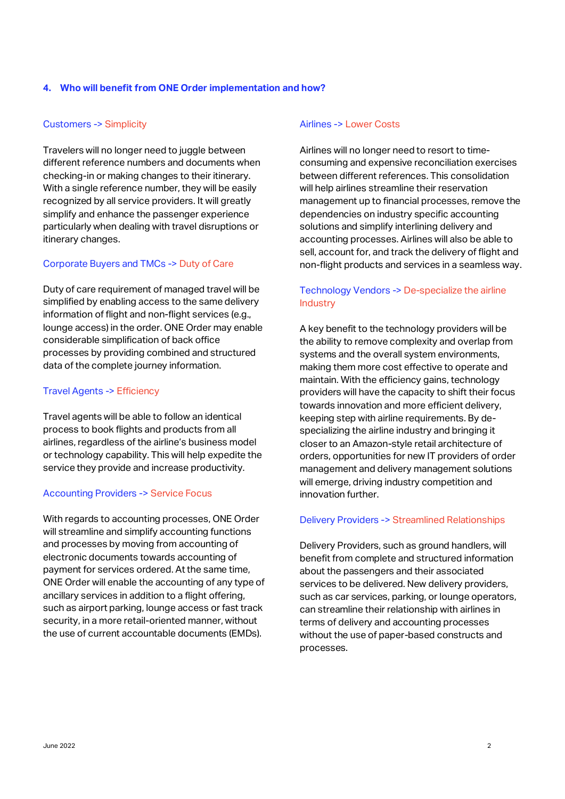## **4. Who will benefit from ONE Order implementation and how?**

#### Customers -> Simplicity

Travelers will no longer need to juggle between different reference numbers and documents when checking-in or making changes to their itinerary. With a single reference number, they will be easily recognized by all service providers. It will greatly simplify and enhance the passenger experience particularly when dealing with travel disruptions or itinerary changes.

# Corporate Buyers and TMCs -> Duty of Care

Duty of care requirement of managed travel will be simplified by enabling access to the same delivery information of flight and non-flight services (e.g., lounge access) in the order. ONE Order may enable considerable simplification of back office processes by providing combined and structured data of the complete journey information.

#### Travel Agents -> Efficiency

Travel agents will be able to follow an identical process to book flights and products from all airlines, regardless of the airline's business model or technology capability. This will help expedite the service they provide and increase productivity.

#### Accounting Providers -> Service Focus

With regards to accounting processes, ONE Order will streamline and simplify accounting functions and processes by moving from accounting of electronic documents towards accounting of payment for services ordered. At the same time, ONE Order will enable the accounting of any type of ancillary services in addition to a flight offering, such as airport parking, lounge access or fast track security, in a more retail-oriented manner, without the use of current accountable documents (EMDs).

#### Airlines -> Lower Costs

Airlines will no longer need to resort to timeconsuming and expensive reconciliation exercises between different references. This consolidation will help airlines streamline their reservation management up to financial processes, remove the dependencies on industry specific accounting solutions and simplify interlining delivery and accounting processes. Airlines will also be able to sell, account for, and track the delivery of flight and non-flight products and services in a seamless way.

# Technology Vendors -> De-specialize the airline **Industry**

A key benefit to the technology providers will be the ability to remove complexity and overlap from systems and the overall system environments, making them more cost effective to operate and maintain. With the efficiency gains, technology providers will have the capacity to shift their focus towards innovation and more efficient delivery, keeping step with airline requirements. By despecializing the airline industry and bringing it closer to an Amazon-style retail architecture of orders, opportunities for new IT providers of order management and delivery management solutions will emerge, driving industry competition and innovation further.

#### Delivery Providers -> Streamlined Relationships

Delivery Providers, such as ground handlers, will benefit from complete and structured information about the passengers and their associated services to be delivered. New delivery providers, such as car services, parking, or lounge operators, can streamline their relationship with airlines in terms of delivery and accounting processes without the use of paper-based constructs and processes.